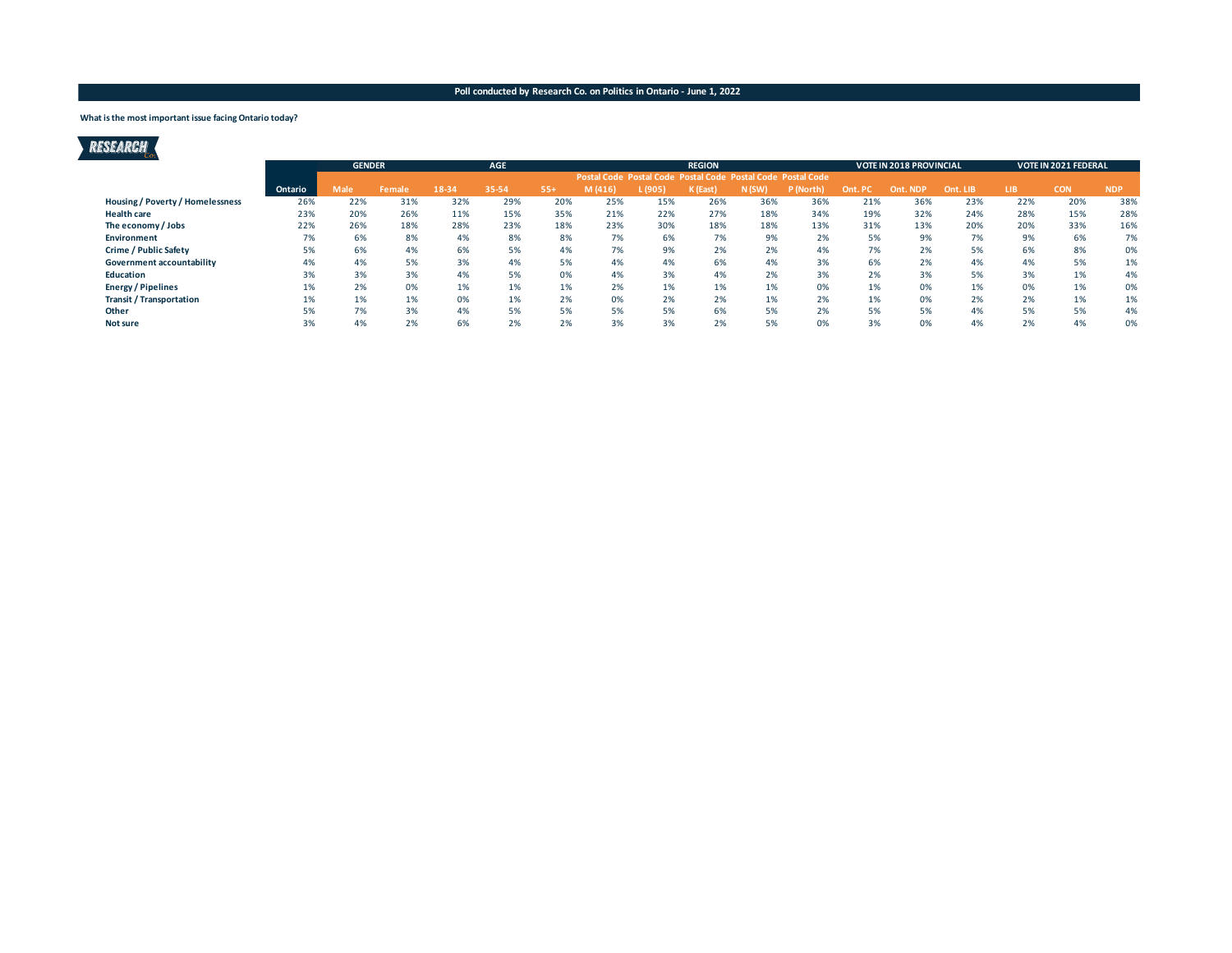#### **What is the most important issue facing Ontario today?**

| RESEARCH                                |         |               |        |       |            |       |                                                             |         |               |          |           |      |                                |          |     |                             |            |
|-----------------------------------------|---------|---------------|--------|-------|------------|-------|-------------------------------------------------------------|---------|---------------|----------|-----------|------|--------------------------------|----------|-----|-----------------------------|------------|
|                                         |         | <b>GENDER</b> |        |       | <b>AGE</b> |       |                                                             |         | <b>REGION</b> |          |           |      | <b>VOTE IN 2018 PROVINCIAL</b> |          |     | <b>VOTE IN 2021 FEDERAL</b> |            |
|                                         |         |               |        |       |            |       | Postal Code Postal Code Postal Code Postal Code Postal Code |         |               |          |           |      |                                |          |     |                             |            |
|                                         | Ontario | <b>Male</b>   | Female | 18-34 | 35-54      | $55+$ | M(416)                                                      | L (905) | K (East)      | $N$ (SW) | P (North) | Ont. | <b>NDP</b><br>Ont              | Ont. LIB | LIB | <b>CON</b>                  | <b>NDP</b> |
| <b>Housing / Poverty / Homelessness</b> | 26%     | 22%           | 31%    | 32%   | 29%        | 20%   | 25%                                                         | 15%     | 26%           | 36%      | 36%       | 21%  | 36%                            | 23%      | 22% | 20%                         | 38%        |
| <b>Health care</b>                      | 23%     | 20%           | 26%    | 11%   | 15%        | 35%   | 21%                                                         | 22%     | 27%           | 18%      | 34%       | 19%  | 32%                            | 24%      | 28% | 15%                         | 28%        |
| The economy / Jobs                      | 22%     | 26%           | 18%    | 28%   | 23%        | 18%   | 23%                                                         | 30%     | 18%           | 18%      | 13%       | 31%  | 13%                            | 20%      | 20% | 33%                         | 16%        |
| Environment                             | 7%      | 6%            | 8%     | 4%    | 8%         | 8%    | 7%                                                          | 6%      | 7%            | 9%       | 2%        | 5%   | 9%                             | 7%       | 9%  | 6%                          | 7%         |
| Crime / Public Safety                   | 5%      | 6%            | 4%     | 6%    | 5%         | 4%    | 7%                                                          | 9%      | 2%            | 2%       | 4%        | 7%   | 2%                             | 5%       | 6%  | 8%                          | 0%         |
| Government accountability               | 4%      | 4%            | 5%     | 3%    | 4%         | 5%    | 4%                                                          | 4%      | 6%            | 4%       | 3%        | 6%   | 2%                             | 4%       | 4%  | 5%                          | 1%         |
| Education                               | 3%      | 3%            | 3%     | 4%    | 5%         | 0%    | 4%                                                          | 3%      | 4%            | 2%       | 3%        | 2%   | 3%                             | 5%       | 3%  | 1%                          | 4%         |
| <b>Energy / Pipelines</b>               | 1%      | 2%            | 0%     | 1%    | 1%         | 1%    | 2%                                                          | 1%      | 1%            | 1%       | 0%        | 1%   | 0%                             | 1%       | 0%  | 1%                          | 0%         |
| <b>Transit / Transportation</b>         | 1%      | 1%            | 1%     | 0%    | 1%         | 2%    | 0%                                                          | 2%      | 2%            | 1%       | 2%        | 1%   | 0%                             | 2%       | 2%  | 1%                          | 1%         |
| Other                                   | 5%      | 7%            | 3%     | 4%    | 5%         | 5%    | 5%                                                          | 5%      | 6%            | 5%       | 2%        | 5%   | 5%                             | 4%       | 5%  | 5%                          | 4%         |
| <b>Not sure</b>                         | 3%      | 4%            | 2%     | 6%    | 2%         | 2%    | 3%                                                          | 3%      | 2%            | 5%       | 0%        | 3%   | 0%                             | 4%       | 2%  | 4%                          | 0%         |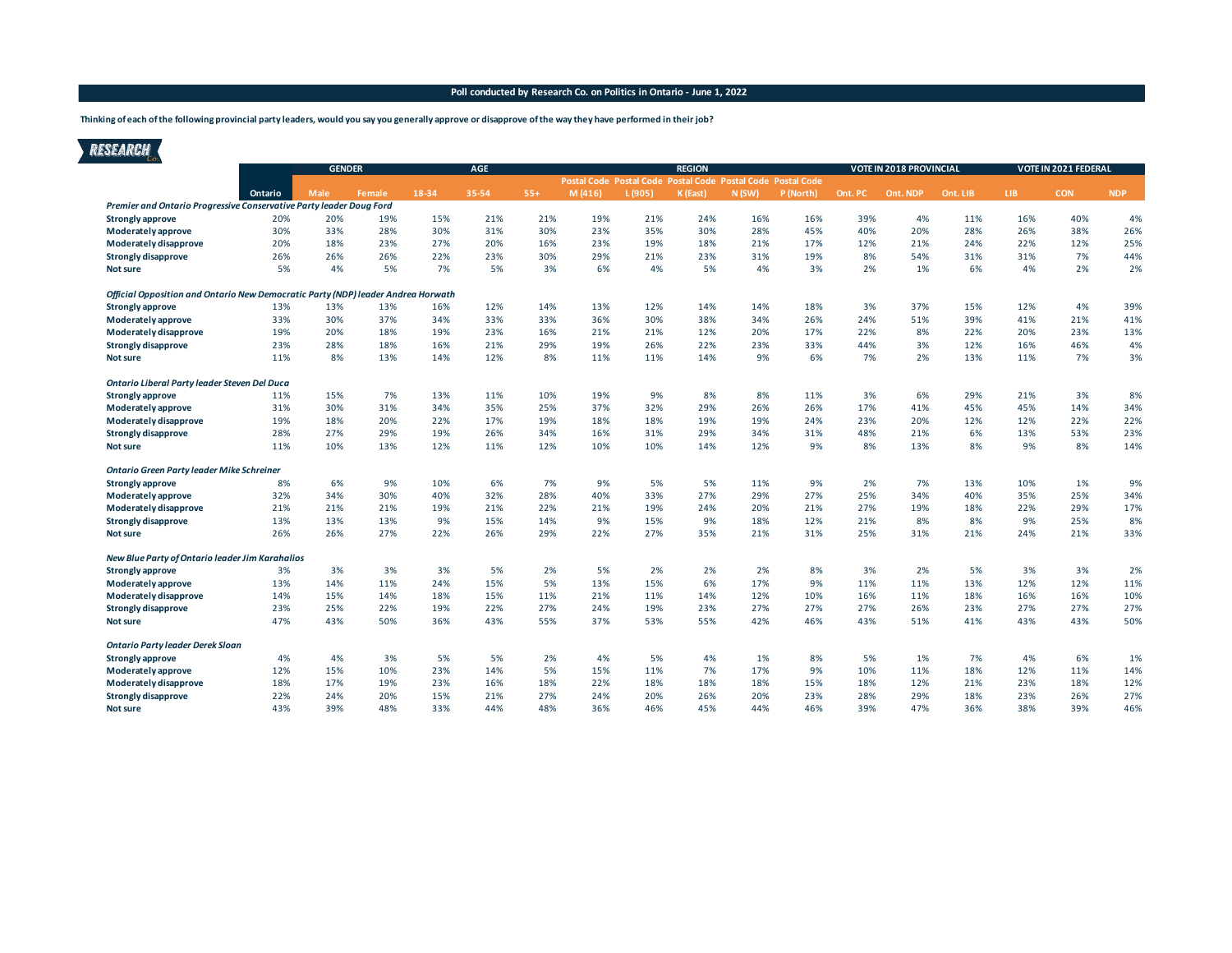**Thinking of each of the following provincial party leaders, would you say you generally approve or disapprove of the way they have performed in their job?**

# RESEARCH

|                                                                                  | <b>GENDER</b> |             |        |       | AGE   |       | <b>REGION</b>                                               |        |          |       |           |         | VOTE IN 2018 PROVINCIAL |          | VOTE IN 2021 FEDERAL |            |            |
|----------------------------------------------------------------------------------|---------------|-------------|--------|-------|-------|-------|-------------------------------------------------------------|--------|----------|-------|-----------|---------|-------------------------|----------|----------------------|------------|------------|
|                                                                                  |               |             |        |       |       |       | Postal Code Postal Code Postal Code Postal Code Postal Code |        |          |       |           |         |                         |          |                      |            |            |
|                                                                                  | Ontario       | <b>Male</b> | Female | 18-34 | 35-54 | $55+$ | M(416)                                                      | L(905) | K (East) | N(SW) | P (North) | Ont. PC | Ont. NDP                | Ont. LIB | LIB.                 | <b>CON</b> | <b>NDP</b> |
| Premier and Ontario Progressive Conservative Party leader Doug Ford              |               |             |        |       |       |       |                                                             |        |          |       |           |         |                         |          |                      |            |            |
| Strongly approve                                                                 | 20%           | 20%         | 19%    | 15%   | 21%   | 21%   | 19%                                                         | 21%    | 24%      | 16%   | 16%       | 39%     | 4%                      | 11%      | 16%                  | 40%        | 4%         |
| Moderately approve                                                               | 30%           | 33%         | 28%    | 30%   | 31%   | 30%   | 23%                                                         | 35%    | 30%      | 28%   | 45%       | 40%     | 20%                     | 28%      | 26%                  | 38%        | 26%        |
| Moderately disapprove                                                            | 20%           | 18%         | 23%    | 27%   | 20%   | 16%   | 23%                                                         | 19%    | 18%      | 21%   | 17%       | 12%     | 21%                     | 24%      | 22%                  | 12%        | 25%        |
| Strongly disapprove                                                              | 26%           | 26%         | 26%    | 22%   | 23%   | 30%   | 29%                                                         | 21%    | 23%      | 31%   | 19%       | 8%      | 54%                     | 31%      | 31%                  | 7%         | 44%        |
| <b>Not sure</b>                                                                  | 5%            | 4%          | 5%     | 7%    | 5%    | 3%    | 6%                                                          | 4%     | 5%       | 4%    | 3%        | 2%      | 1%                      | 6%       | 4%                   | 2%         | 2%         |
| Official Opposition and Ontario New Democratic Party (NDP) leader Andrea Horwath |               |             |        |       |       |       |                                                             |        |          |       |           |         |                         |          |                      |            |            |
| <b>Strongly approve</b>                                                          | 13%           | 13%         | 13%    | 16%   | 12%   | 14%   | 13%                                                         | 12%    | 14%      | 14%   | 18%       | 3%      | 37%                     | 15%      | 12%                  | 4%         | 39%        |
| Moderately approve                                                               | 33%           | 30%         | 37%    | 34%   | 33%   | 33%   | 36%                                                         | 30%    | 38%      | 34%   | 26%       | 24%     | 51%                     | 39%      | 41%                  | 21%        | 41%        |
| Moderately disapprove                                                            | 19%           | 20%         | 18%    | 19%   | 23%   | 16%   | 21%                                                         | 21%    | 12%      | 20%   | 17%       | 22%     | 8%                      | 22%      | 20%                  | 23%        | 13%        |
| Strongly disapprove                                                              | 23%           | 28%         | 18%    | 16%   | 21%   | 29%   | 19%                                                         | 26%    | 22%      | 23%   | 33%       | 44%     | 3%                      | 12%      | 16%                  | 46%        | 4%         |
| <b>Not sure</b>                                                                  | 11%           | 8%          | 13%    | 14%   | 12%   | 8%    | 11%                                                         | 11%    | 14%      | 9%    | 6%        | 7%      | 2%                      | 13%      | 11%                  | 7%         | 3%         |
| Ontario Liberal Party leader Steven Del Duca                                     |               |             |        |       |       |       |                                                             |        |          |       |           |         |                         |          |                      |            |            |
| Strongly approve                                                                 | 11%           | 15%         | 7%     | 13%   | 11%   | 10%   | 19%                                                         | 9%     | 8%       | 8%    | 11%       | 3%      | 6%                      | 29%      | 21%                  | 3%         | 8%         |
| Moderately approve                                                               | 31%           | 30%         | 31%    | 34%   | 35%   | 25%   | 37%                                                         | 32%    | 29%      | 26%   | 26%       | 17%     | 41%                     | 45%      | 45%                  | 14%        | 34%        |
| Moderately disapprove                                                            | 19%           | 18%         | 20%    | 22%   | 17%   | 19%   | 18%                                                         | 18%    | 19%      | 19%   | 24%       | 23%     | 20%                     | 12%      | 12%                  | 22%        | 22%        |
| Strongly disapprove                                                              | 28%           | 27%         | 29%    | 19%   | 26%   | 34%   | 16%                                                         | 31%    | 29%      | 34%   | 31%       | 48%     | 21%                     | 6%       | 13%                  | 53%        | 23%        |
| Not sure                                                                         | 11%           | 10%         | 13%    | 12%   | 11%   | 12%   | 10%                                                         | 10%    | 14%      | 12%   | 9%        | 8%      | 13%                     | 8%       | 9%                   | 8%         | 14%        |
| <b>Ontario Green Party leader Mike Schreiner</b>                                 |               |             |        |       |       |       |                                                             |        |          |       |           |         |                         |          |                      |            |            |
| <b>Strongly approve</b>                                                          | 8%            | 6%          | 9%     | 10%   | 6%    | 7%    | 9%                                                          | 5%     | 5%       | 11%   | 9%        | 2%      | 7%                      | 13%      | 10%                  | 1%         | 9%         |
| Moderately approve                                                               | 32%           | 34%         | 30%    | 40%   | 32%   | 28%   | 40%                                                         | 33%    | 27%      | 29%   | 27%       | 25%     | 34%                     | 40%      | 35%                  | 25%        | 34%        |
| Moderately disapprove                                                            | 21%           | 21%         | 21%    | 19%   | 21%   | 22%   | 21%                                                         | 19%    | 24%      | 20%   | 21%       | 27%     | 19%                     | 18%      | 22%                  | 29%        | 17%        |
| <b>Strongly disapprove</b>                                                       | 13%           | 13%         | 13%    | 9%    | 15%   | 14%   | 9%                                                          | 15%    | 9%       | 18%   | 12%       | 21%     | 8%                      | 8%       | 9%                   | 25%        | 8%         |
| Not sure                                                                         | 26%           | 26%         | 27%    | 22%   | 26%   | 29%   | 22%                                                         | 27%    | 35%      | 21%   | 31%       | 25%     | 31%                     | 21%      | 24%                  | 21%        | 33%        |
| New Blue Party of Ontario leader Jim Karahalios                                  |               |             |        |       |       |       |                                                             |        |          |       |           |         |                         |          |                      |            |            |
| Strongly approve                                                                 | 3%            | 3%          | 3%     | 3%    | 5%    | 2%    | 5%                                                          | 2%     | 2%       | 2%    | 8%        | 3%      | 2%                      | 5%       | 3%                   | 3%         | 2%         |
| Moderately approve                                                               | 13%           | 14%         | 11%    | 24%   | 15%   | 5%    | 13%                                                         | 15%    | 6%       | 17%   | 9%        | 11%     | 11%                     | 13%      | 12%                  | 12%        | 11%        |
| Moderately disapprove                                                            | 14%           | 15%         | 14%    | 18%   | 15%   | 11%   | 21%                                                         | 11%    | 14%      | 12%   | 10%       | 16%     | 11%                     | 18%      | 16%                  | 16%        | 10%        |
| Strongly disapprove                                                              | 23%           | 25%         | 22%    | 19%   | 22%   | 27%   | 24%                                                         | 19%    | 23%      | 27%   | 27%       | 27%     | 26%                     | 23%      | 27%                  | 27%        | 27%        |
| <b>Not sure</b>                                                                  | 47%           | 43%         | 50%    | 36%   | 43%   | 55%   | 37%                                                         | 53%    | 55%      | 42%   | 46%       | 43%     | 51%                     | 41%      | 43%                  | 43%        | 50%        |
| <b>Ontario Party leader Derek Sloan</b>                                          |               |             |        |       |       |       |                                                             |        |          |       |           |         |                         |          |                      |            |            |
| <b>Strongly approve</b>                                                          | 4%            | 4%          | 3%     | 5%    | 5%    | 2%    | 4%                                                          | 5%     | 4%       | 1%    | 8%        | 5%      | 1%                      | 7%       | 4%                   | 6%         | 1%         |
| Moderately approve                                                               | 12%           | 15%         | 10%    | 23%   | 14%   | 5%    | 15%                                                         | 11%    | 7%       | 17%   | 9%        | 10%     | 11%                     | 18%      | 12%                  | 11%        | 14%        |
| Moderately disapprove                                                            | 18%           | 17%         | 19%    | 23%   | 16%   | 18%   | 22%                                                         | 18%    | 18%      | 18%   | 15%       | 18%     | 12%                     | 21%      | 23%                  | 18%        | 12%        |
| Strongly disapprove                                                              | 22%           | 24%         | 20%    | 15%   | 21%   | 27%   | 24%                                                         | 20%    | 26%      | 20%   | 23%       | 28%     | 29%                     | 18%      | 23%                  | 26%        | 27%        |
| Not sure                                                                         | 43%           | 39%         | 48%    | 33%   | 44%   | 48%   | 36%                                                         | 46%    | 45%      | 44%   | 46%       | 39%     | 47%                     | 36%      | 38%                  | 39%        | 46%        |
|                                                                                  |               |             |        |       |       |       |                                                             |        |          |       |           |         |                         |          |                      |            |            |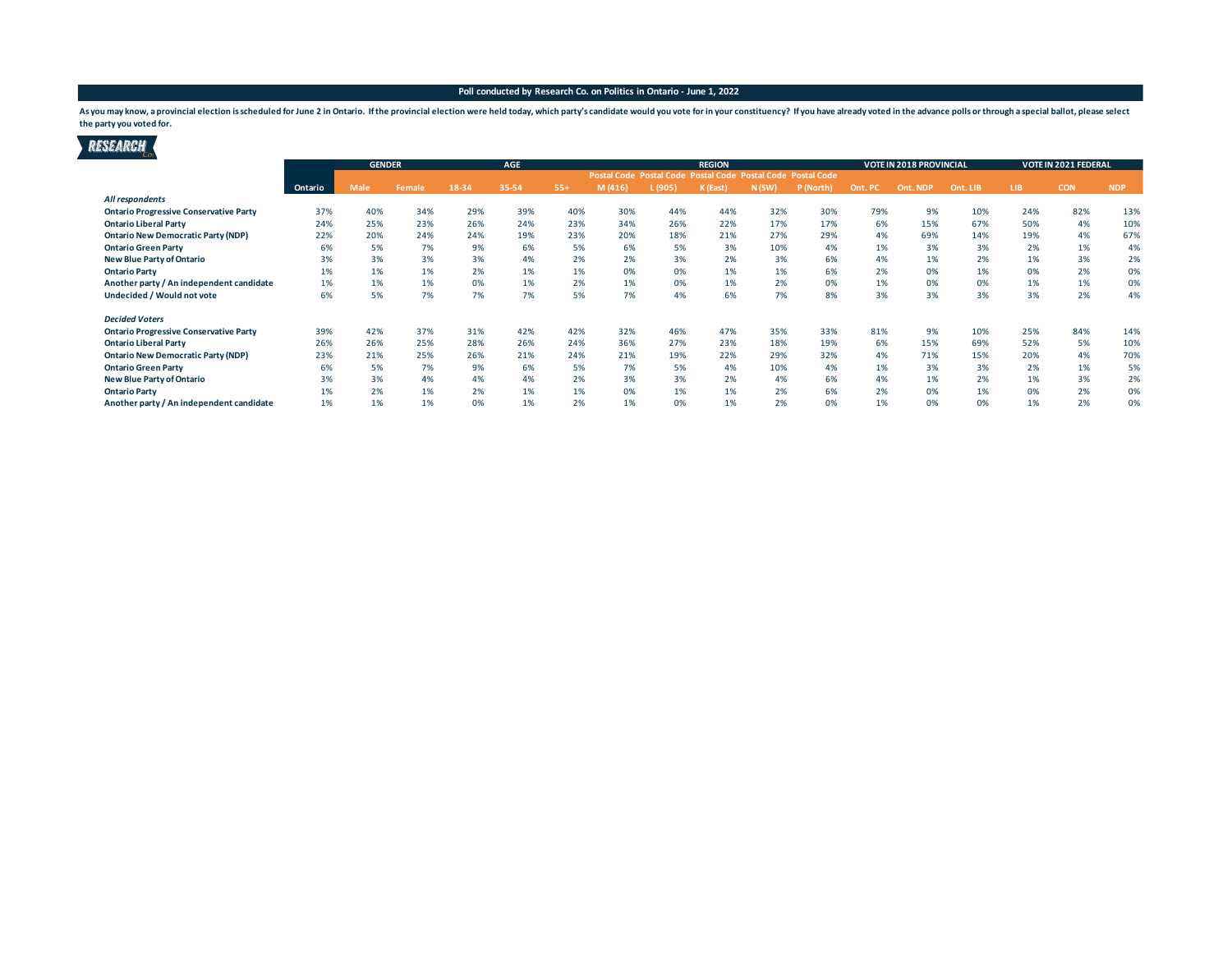7

As you may know, a provincial election is scheduled for June 2 in Ontario. If the provincial election were held today, which party's candidate would you vote for in your constituency? If you have already voted in the advan **the party you voted for.**

| RESEARCH                                      |         |               |               |       |            |       |        |         |                                                             |       |           |         |                         |          |      |                             |            |
|-----------------------------------------------|---------|---------------|---------------|-------|------------|-------|--------|---------|-------------------------------------------------------------|-------|-----------|---------|-------------------------|----------|------|-----------------------------|------------|
|                                               |         | <b>GENDER</b> |               |       | <b>AGE</b> |       |        |         | <b>REGION</b>                                               |       |           |         | VOTE IN 2018 PROVINCIAL |          |      | <b>VOTE IN 2021 FEDERAL</b> |            |
|                                               |         |               |               |       |            |       |        |         | Postal Code Postal Code Postal Code Postal Code Postal Code |       |           |         |                         |          |      |                             |            |
|                                               | Ontario | Male          | <b>Female</b> | 18-34 | 35-54      | $55+$ | M(416) | L (905) | K (East                                                     | N(SW) | P (North) | Ont. PC | Ont. NDP                | Ont. LIB | LIB. | <b>CON</b>                  | <b>NDP</b> |
| All respondents                               |         |               |               |       |            |       |        |         |                                                             |       |           |         |                         |          |      |                             |            |
| <b>Ontario Progressive Conservative Party</b> | 37%     | 40%           | 34%           | 29%   | 39%        | 40%   | 30%    | 44%     | 44%                                                         | 32%   | 30%       | 79%     | 9%                      | 10%      | 24%  | 82%                         | 13%        |
| <b>Ontario Liberal Party</b>                  | 24%     | 25%           | 23%           | 26%   | 24%        | 23%   | 34%    | 26%     | 22%                                                         | 17%   | 17%       | 6%      | 15%                     | 67%      | 50%  | 4%                          | 10%        |
| <b>Ontario New Democratic Party (NDP)</b>     | 22%     | 20%           | 24%           | 24%   | 19%        | 23%   | 20%    | 18%     | 21%                                                         | 27%   | 29%       | 4%      | 69%                     | 14%      | 19%  | 4%                          | 67%        |
| <b>Ontario Green Party</b>                    | 6%      | 5%            | 7%            | 9%    | 6%         | 5%    | 6%     | 5%      | 3%                                                          | 10%   | 4%        | 1%      | 3%                      | 3%       | 2%   | 1%                          | 4%         |
| <b>New Blue Party of Ontario</b>              | 3%      | 3%            | 3%            | 3%    | 4%         | 2%    | 2%     | 3%      | 2%                                                          | 3%    | 6%        | 4%      | 1%                      | 2%       | 1%   | 3%                          | 2%         |
| <b>Ontario Party</b>                          | 1%      | 1%            | 1%            | 2%    | 1%         | 1%    | 0%     | 0%      | 1%                                                          | 1%    | 6%        | 2%      | 0%                      | 1%       | 0%   | 2%                          | 0%         |
| Another party / An independent candidate      | 1%      | 1%            | 1%            | 0%    | 1%         | 2%    | 1%     | 0%      | 1%                                                          | 2%    | 0%        | 1%      | 0%                      | 0%       | 1%   | 1%                          | 0%         |
| Undecided / Would not vote                    | 6%      | 5%            | 7%            | 7%    | 7%         | 5%    | 7%     | 4%      | 6%                                                          | 7%    | 8%        | 3%      | 3%                      | 3%       | 3%   | 2%                          | 4%         |
| <b>Decided Voters</b>                         |         |               |               |       |            |       |        |         |                                                             |       |           |         |                         |          |      |                             |            |
| <b>Ontario Progressive Conservative Party</b> | 39%     | 42%           | 37%           | 31%   | 42%        | 42%   | 32%    | 46%     | 47%                                                         | 35%   | 33%       | 81%     | 9%                      | 10%      | 25%  | 84%                         | 14%        |
| <b>Ontario Liberal Party</b>                  | 26%     | 26%           | 25%           | 28%   | 26%        | 24%   | 36%    | 27%     | 23%                                                         | 18%   | 19%       | 6%      | 15%                     | 69%      | 52%  | 5%                          | 10%        |
| <b>Ontario New Democratic Party (NDP)</b>     | 23%     | 21%           | 25%           | 26%   | 21%        | 24%   | 21%    | 19%     | 22%                                                         | 29%   | 32%       | 4%      | 71%                     | 15%      | 20%  | 4%                          | 70%        |
| <b>Ontario Green Party</b>                    | 6%      | 5%            | 7%            | 9%    | 6%         | 5%    | 7%     | 5%      | 4%                                                          | 10%   | 4%        | 1%      | 3%                      | 3%       | 2%   | 1%                          | 5%         |
| <b>New Blue Party of Ontario</b>              | 3%      | 3%            | 4%            | 4%    | 4%         | 2%    | 3%     | 3%      | 2%                                                          | 4%    | 6%        | 4%      | 1%                      | 2%       | 1%   | 3%                          | 2%         |
| <b>Ontario Party</b>                          | 1%      | 2%            | 1%            | 2%    | 1%         | 1%    | 0%     | 1%      | 1%                                                          | 2%    | 6%        | 2%      | 0%                      | 1%       | 0%   | 2%                          | 0%         |
| Another party / An independent candidate      | 1%      | 1%            | 1%            | 0%    | 1%         | 2%    | 1%     | 0%      | 1%                                                          | 2%    | 0%        | 1%      | 0%                      | 0%       | 1%   | 2%                          | 0%         |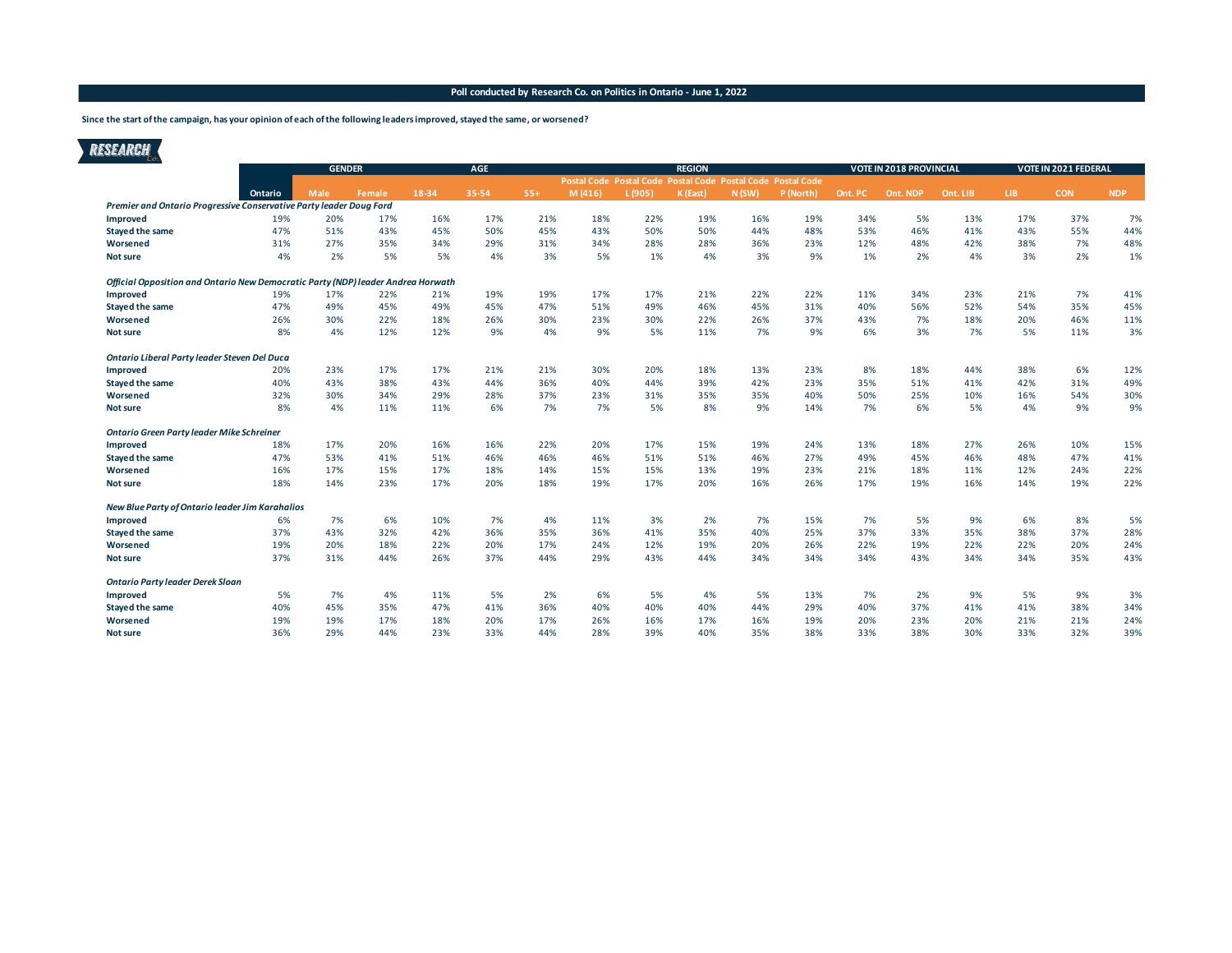**Since the start of the campaign, has your opinion of each of the following leaders improved, stayed the same, or worsened?**

# RESEARCH

|                                                                                  | <b>GENDER</b> |      |        |       | <b>AGE</b> |       |                                                             |        | <b>REGION</b> |       |           |         | VOTE IN 2018 PROVINCIAL |          | VOTE IN 2021 FEDERAL |            |            |
|----------------------------------------------------------------------------------|---------------|------|--------|-------|------------|-------|-------------------------------------------------------------|--------|---------------|-------|-----------|---------|-------------------------|----------|----------------------|------------|------------|
|                                                                                  |               |      |        |       |            |       | Postal Code Postal Code Postal Code Postal Code Postal Code |        |               |       |           |         |                         |          |                      |            |            |
|                                                                                  | Ontario       | Male | Female | 18-34 | 35-54      | $55+$ | M(416)                                                      | L(905) | K (East)      | N(SW) | P (North) | Ont. PC | Ont. NDP                | Ont. LIB | LIB.                 | <b>CON</b> | <b>NDP</b> |
| Premier and Ontario Progressive Conservative Party leader Doug Ford              |               |      |        |       |            |       |                                                             |        |               |       |           |         |                         |          |                      |            |            |
| Improved                                                                         | 19%           | 20%  | 17%    | 16%   | 17%        | 21%   | 18%                                                         | 22%    | 19%           | 16%   | 19%       | 34%     | 5%                      | 13%      | 17%                  | 37%        | 7%         |
| <b>Stayed the same</b>                                                           | 47%           | 51%  | 43%    | 45%   | 50%        | 45%   | 43%                                                         | 50%    | 50%           | 44%   | 48%       | 53%     | 46%                     | 41%      | 43%                  | 55%        | 44%        |
| Worsened                                                                         | 31%           | 27%  | 35%    | 34%   | 29%        | 31%   | 34%                                                         | 28%    | 28%           | 36%   | 23%       | 12%     | 48%                     | 42%      | 38%                  | 7%         | 48%        |
| <b>Not sure</b>                                                                  | 4%            | 2%   | 5%     | 5%    | 4%         | 3%    | 5%                                                          | 1%     | 4%            | 3%    | 9%        | 1%      | 2%                      | 4%       | 3%                   | 2%         | 1%         |
| Official Opposition and Ontario New Democratic Party (NDP) leader Andrea Horwath |               |      |        |       |            |       |                                                             |        |               |       |           |         |                         |          |                      |            |            |
| Improved                                                                         | 19%           | 17%  | 22%    | 21%   | 19%        | 19%   | 17%                                                         | 17%    | 21%           | 22%   | 22%       | 11%     | 34%                     | 23%      | 21%                  | 7%         | 41%        |
| <b>Stayed the same</b>                                                           | 47%           | 49%  | 45%    | 49%   | 45%        | 47%   | 51%                                                         | 49%    | 46%           | 45%   | 31%       | 40%     | 56%                     | 52%      | 54%                  | 35%        | 45%        |
| Worsened                                                                         | 26%           | 30%  | 22%    | 18%   | 26%        | 30%   | 23%                                                         | 30%    | 22%           | 26%   | 37%       | 43%     | 7%                      | 18%      | 20%                  | 46%        | 11%        |
| <b>Not sure</b>                                                                  | 8%            | 4%   | 12%    | 12%   | 9%         | 4%    | 9%                                                          | 5%     | 11%           | 7%    | 9%        | 6%      | 3%                      | 7%       | 5%                   | 11%        | 3%         |
| Ontario Liberal Party leader Steven Del Duca                                     |               |      |        |       |            |       |                                                             |        |               |       |           |         |                         |          |                      |            |            |
| Improved                                                                         | 20%           | 23%  | 17%    | 17%   | 21%        | 21%   | 30%                                                         | 20%    | 18%           | 13%   | 23%       | 8%      | 18%                     | 44%      | 38%                  | 6%         | 12%        |
| <b>Stayed the same</b>                                                           | 40%           | 43%  | 38%    | 43%   | 44%        | 36%   | 40%                                                         | 44%    | 39%           | 42%   | 23%       | 35%     | 51%                     | 41%      | 42%                  | 31%        | 49%        |
| Worsened                                                                         | 32%           | 30%  | 34%    | 29%   | 28%        | 37%   | 23%                                                         | 31%    | 35%           | 35%   | 40%       | 50%     | 25%                     | 10%      | 16%                  | 54%        | 30%        |
| <b>Not sure</b>                                                                  | 8%            | 4%   | 11%    | 11%   | 6%         | 7%    | 7%                                                          | 5%     | 8%            | 9%    | 14%       | 7%      | 6%                      | 5%       | 4%                   | 9%         | 9%         |
| Ontario Green Party leader Mike Schreiner                                        |               |      |        |       |            |       |                                                             |        |               |       |           |         |                         |          |                      |            |            |
| Improved                                                                         | 18%           | 17%  | 20%    | 16%   | 16%        | 22%   | 20%                                                         | 17%    | 15%           | 19%   | 24%       | 13%     | 18%                     | 27%      | 26%                  | 10%        | 15%        |
| <b>Stayed the same</b>                                                           | 47%           | 53%  | 41%    | 51%   | 46%        | 46%   | 46%                                                         | 51%    | 51%           | 46%   | 27%       | 49%     | 45%                     | 46%      | 48%                  | 47%        | 41%        |
| Worsened                                                                         | 16%           | 17%  | 15%    | 17%   | 18%        | 14%   | 15%                                                         | 15%    | 13%           | 19%   | 23%       | 21%     | 18%                     | 11%      | 12%                  | 24%        | 22%        |
| <b>Not sure</b>                                                                  | 18%           | 14%  | 23%    | 17%   | 20%        | 18%   | 19%                                                         | 17%    | 20%           | 16%   | 26%       | 17%     | 19%                     | 16%      | 14%                  | 19%        | 22%        |
| New Blue Party of Ontario leader Jim Karahalios                                  |               |      |        |       |            |       |                                                             |        |               |       |           |         |                         |          |                      |            |            |
| Improved                                                                         | 6%            | 7%   | 6%     | 10%   | 7%         | 4%    | 11%                                                         | 3%     | 2%            | 7%    | 15%       | 7%      | 5%                      | 9%       | 6%                   | 8%         | 5%         |
| <b>Stayed the same</b>                                                           | 37%           | 43%  | 32%    | 42%   | 36%        | 35%   | 36%                                                         | 41%    | 35%           | 40%   | 25%       | 37%     | 33%                     | 35%      | 38%                  | 37%        | 28%        |
| Worsened                                                                         | 19%           | 20%  | 18%    | 22%   | 20%        | 17%   | 24%                                                         | 12%    | 19%           | 20%   | 26%       | 22%     | 19%                     | 22%      | 22%                  | 20%        | 24%        |
| <b>Not sure</b>                                                                  | 37%           | 31%  | 44%    | 26%   | 37%        | 44%   | 29%                                                         | 43%    | 44%           | 34%   | 34%       | 34%     | 43%                     | 34%      | 34%                  | 35%        | 43%        |
| <b>Ontario Party leader Derek Sloan</b>                                          |               |      |        |       |            |       |                                                             |        |               |       |           |         |                         |          |                      |            |            |
| Improved                                                                         | 5%            | 7%   | 4%     | 11%   | 5%         | 2%    | 6%                                                          | 5%     | 4%            | 5%    | 13%       | 7%      | 2%                      | 9%       | 5%                   | 9%         | 3%         |
| <b>Stayed the same</b>                                                           | 40%           | 45%  | 35%    | 47%   | 41%        | 36%   | 40%                                                         | 40%    | 40%           | 44%   | 29%       | 40%     | 37%                     | 41%      | 41%                  | 38%        | 34%        |
| Worsened                                                                         | 19%           | 19%  | 17%    | 18%   | 20%        | 17%   | 26%                                                         | 16%    | 17%           | 16%   | 19%       | 20%     | 23%                     | 20%      | 21%                  | 21%        | 24%        |
| <b>Not sure</b>                                                                  | 36%           | 29%  | 44%    | 23%   | 33%        | 44%   | 28%                                                         | 39%    | 40%           | 35%   | 38%       | 33%     | 38%                     | 30%      | 33%                  | 32%        | 39%        |